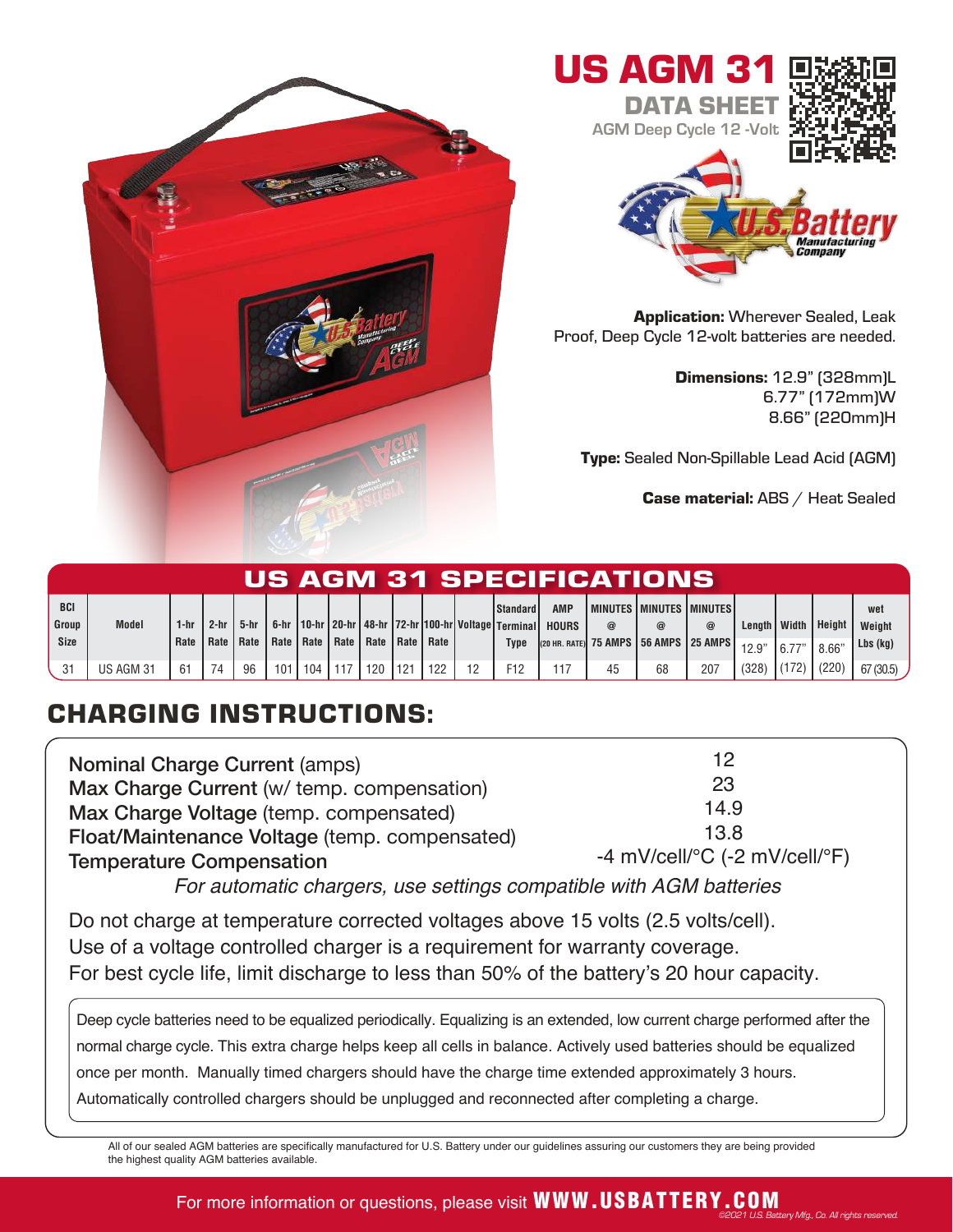



Application: Wherever Sealed, Leak Proof, Deep Cycle 12-volt batteries are needed.

> Dimensions: 12.9" (328mm)L 6.77" (172mm)W 8.66" (220mm)H

Type: Sealed Non-Spillable Lead Acid (AGM)

Case material: ABS / Heat Sealed

©2021 U.S. Battery Mfg., Co. All rights reserved.

| US AGM 31 SPECIFICATIONS |              |              |        |                                                                     |     |     |  |     |      |     |    |                                                                                     |              |    |                                                |     |                   |       |                 |                      |
|--------------------------|--------------|--------------|--------|---------------------------------------------------------------------|-----|-----|--|-----|------|-----|----|-------------------------------------------------------------------------------------|--------------|----|------------------------------------------------|-----|-------------------|-------|-----------------|----------------------|
| <b>BCI</b>               |              |              |        |                                                                     |     |     |  |     |      |     |    | l Standard l                                                                        | <b>AMP</b>   |    | I MINUTES I MINUTES I MINUTES                  |     |                   |       |                 | wet                  |
| Group<br>Size            | <b>Model</b> | 1-hr<br>Rate | $2-hr$ | $5-hr$  <br>  Rate   Rate   Rate   Rate   Rate   Rate   Rate   Rate |     |     |  |     |      |     |    | 6-hr   10-hr   20-hr   48-hr   72-hr   100-hr   Voltage   Terminal  <br><b>Type</b> | <b>HOURS</b> |    | @<br>(20 HR. RATE) 75 AMPS   56 AMPS   25 AMPS | @   | Lenath I<br>12.9" | Width | Height<br>8.66' | Weight<br>$Lbs$ (kg) |
| -31                      | US AGM 31    | 61           | 74     | 96                                                                  | 101 | 104 |  | 120 | 1121 | 122 | 19 | F <sub>12</sub>                                                                     |              | 45 | 68                                             | 207 | (328)             | (172) | (220)           | 67(30.5)             |

## CHARGING INSTRUCTIONS:

| <b>Nominal Charge Current (amps)</b>          | 12                                                |
|-----------------------------------------------|---------------------------------------------------|
| Max Charge Current (w/ temp. compensation)    | 23                                                |
| Max Charge Voltage (temp. compensated)        | 14.9                                              |
| Float/Maintenance Voltage (temp. compensated) | 13.8                                              |
| <b>Temperature Compensation</b>               | -4 mV/cell/ $\degree$ C (-2 mV/cell/ $\degree$ F) |

For automatic chargers, use settings compatible with AGM batteries

Do not charge at temperature corrected voltages above 15 volts (2.5 volts/cell). Use of a voltage controlled charger is a requirement for warranty coverage. For best cycle life, limit discharge to less than 50% of the battery's 20 hour capacity.

Deep cycle batteries need to be equalized periodically. Equalizing is an extended, low current charge performed after the normal charge cycle. This extra charge helps keep all cells in balance. Actively used batteries should be equalized once per month. Manually timed chargers should have the charge time extended approximately 3 hours. Automatically controlled chargers should be unplugged and reconnected after completing a charge.

All of our sealed AGM batteries are specifically manufactured for U.S. Battery under our guidelines assuring our customers they are being provided the highest quality AGM batteries available.

## For more information or questions, please visit WWW.USBATTERY.COM